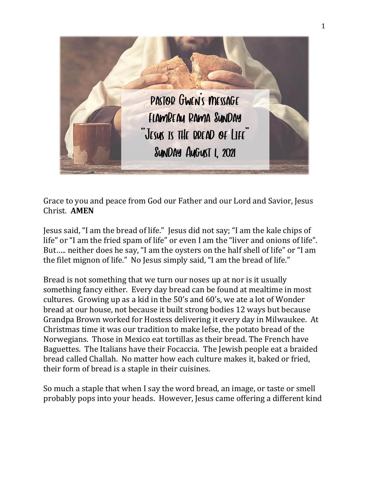

Grace to you and peace from God our Father and our Lord and Savior, Jesus Christ. **AMEN**

Jesus said, "I am the bread of life." Jesus did not say; "I am the kale chips of life" or "I am the fried spam of life" or even I am the "liver and onions of life". But….. neither does he say, "I am the oysters on the half shell of life" or "I am the filet mignon of life." No Jesus simply said, "I am the bread of life."

Bread is not something that we turn our noses up at nor is it usually something fancy either. Every day bread can be found at mealtime in most cultures. Growing up as a kid in the 50's and 60's, we ate a lot of Wonder bread at our house, not because it built strong bodies 12 ways but because Grandpa Brown worked for Hostess delivering it every day in Milwaukee. At Christmas time it was our tradition to make lefse, the potato bread of the Norwegians. Those in Mexico eat tortillas as their bread. The French have Baguettes. The Italians have their Focaccia. The Jewish people eat a braided bread called Challah. No matter how each culture makes it, baked or fried, their form of bread is a staple in their cuisines.

So much a staple that when I say the word bread, an image, or taste or smell probably pops into your heads. However, Jesus came offering a different kind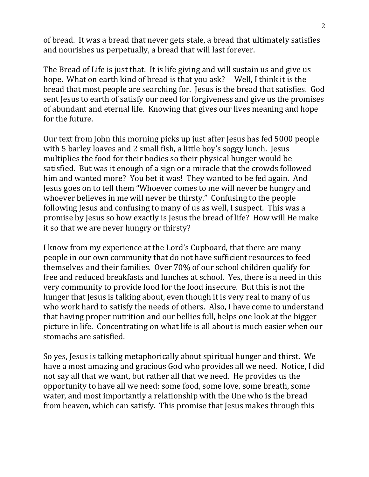of bread. It was a bread that never gets stale, a bread that ultimately satisfies and nourishes us perpetually, a bread that will last forever.

The Bread of Life is just that. It is life giving and will sustain us and give us hope. What on earth kind of bread is that you ask? Well, I think it is the bread that most people are searching for. Jesus is the bread that satisfies. God sent Jesus to earth of satisfy our need for forgiveness and give us the promises of abundant and eternal life. Knowing that gives our lives meaning and hope for the future.

Our text from John this morning picks up just after Jesus has fed 5000 people with 5 barley loaves and 2 small fish, a little boy's soggy lunch. Jesus multiplies the food for their bodies so their physical hunger would be satisfied. But was it enough of a sign or a miracle that the crowds followed him and wanted more? You bet it was! They wanted to be fed again. And Jesus goes on to tell them "Whoever comes to me will never be hungry and whoever believes in me will never be thirsty." Confusing to the people following Jesus and confusing to many of us as well, I suspect. This was a promise by Jesus so how exactly is Jesus the bread of life? How will He make it so that we are never hungry or thirsty?

I know from my experience at the Lord's Cupboard, that there are many people in our own community that do not have sufficient resources to feed themselves and their families. Over 70% of our school children qualify for free and reduced breakfasts and lunches at school. Yes, there is a need in this very community to provide food for the food insecure. But this is not the hunger that Jesus is talking about, even though it is very real to many of us who work hard to satisfy the needs of others. Also, I have come to understand that having proper nutrition and our bellies full, helps one look at the bigger picture in life. Concentrating on what life is all about is much easier when our stomachs are satisfied.

So yes, Jesus is talking metaphorically about spiritual hunger and thirst. We have a most amazing and gracious God who provides all we need. Notice, I did not say all that we want, but rather all that we need. He provides us the opportunity to have all we need: some food, some love, some breath, some water, and most importantly a relationship with the One who is the bread from heaven, which can satisfy. This promise that Jesus makes through this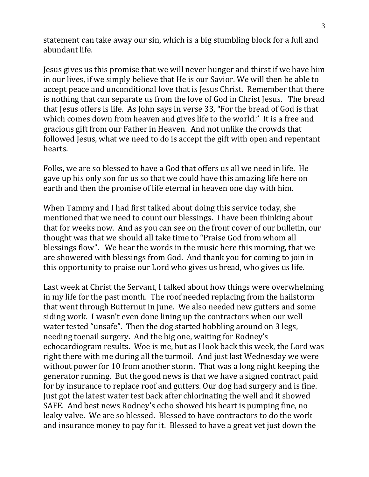statement can take away our sin, which is a big stumbling block for a full and abundant life.

Jesus gives us this promise that we will never hunger and thirst if we have him in our lives, if we simply believe that He is our Savior. We will then be able to accept peace and unconditional love that is Jesus Christ. Remember that there is nothing that can separate us from the love of God in Christ Jesus. The bread that Jesus offers is life. As John says in verse 33, "For the bread of God is that which comes down from heaven and gives life to the world." It is a free and gracious gift from our Father in Heaven. And not unlike the crowds that followed Jesus, what we need to do is accept the gift with open and repentant hearts.

Folks, we are so blessed to have a God that offers us all we need in life. He gave up his only son for us so that we could have this amazing life here on earth and then the promise of life eternal in heaven one day with him.

When Tammy and I had first talked about doing this service today, she mentioned that we need to count our blessings. I have been thinking about that for weeks now. And as you can see on the front cover of our bulletin, our thought was that we should all take time to "Praise God from whom all blessings flow". We hear the words in the music here this morning, that we are showered with blessings from God. And thank you for coming to join in this opportunity to praise our Lord who gives us bread, who gives us life.

Last week at Christ the Servant, I talked about how things were overwhelming in my life for the past month. The roof needed replacing from the hailstorm that went through Butternut in June. We also needed new gutters and some siding work. I wasn't even done lining up the contractors when our well water tested "unsafe". Then the dog started hobbling around on 3 legs, needing toenail surgery. And the big one, waiting for Rodney's echocardiogram results. Woe is me, but as I look back this week, the Lord was right there with me during all the turmoil. And just last Wednesday we were without power for 10 from another storm. That was a long night keeping the generator running. But the good news is that we have a signed contract paid for by insurance to replace roof and gutters. Our dog had surgery and is fine. Just got the latest water test back after chlorinating the well and it showed SAFE. And best news Rodney's echo showed his heart is pumping fine, no leaky valve. We are so blessed. Blessed to have contractors to do the work and insurance money to pay for it. Blessed to have a great vet just down the